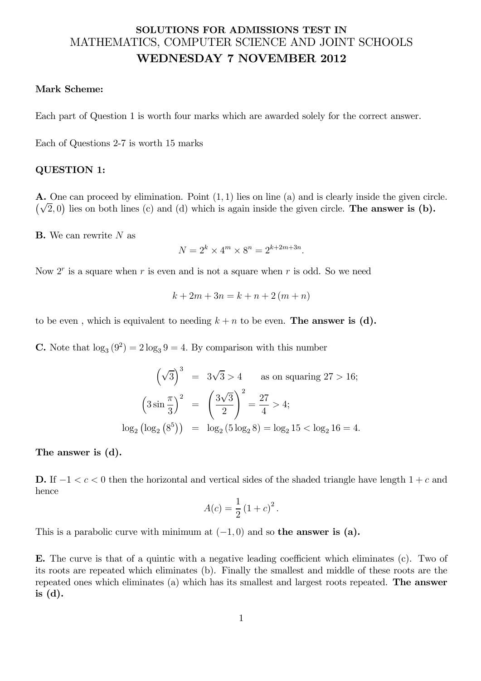## SOLUTIONS FOR ADMISSIONS TEST IN MATHEMATICS, COMPUTER SCIENCE AND JOINT SCHOOLS WEDNESDAY 7 NOVEMBER 2012

## Mark Scheme:

Each part of Question 1 is worth four marks which are awarded solely for the correct answer.

Each of Questions 2-7 is worth 15 marks

## QUESTION 1:

A. One can proceed by elimination. Point (1, 1) lies on line (a) and is clearly inside the given circle.  $(\sqrt{2},0)$  lies on both lines (c) and (d) which is again inside the given circle. The answer is (b).

**B.** We can rewrite  $N$  as

$$
N = 2^k \times 4^m \times 8^n = 2^{k+2m+3n}.
$$

Now  $2^r$  is a square when r is even and is not a square when r is odd. So we need

$$
k + 2m + 3n = k + n + 2(m + n)
$$

to be even, which is equivalent to needing  $k + n$  to be even. The answer is (d).

**C.** Note that  $\log_3(9^2) = 2 \log_3 9 = 4$ . By comparison with this number

$$
(\sqrt{3})^3 = 3\sqrt{3} > 4 \quad \text{as on squaring } 27 > 16;
$$
  

$$
(3\sin\frac{\pi}{3})^2 = (\frac{3\sqrt{3}}{2})^2 = \frac{27}{4} > 4;
$$
  

$$
\log_2(\log_2(8^5)) = \log_2(5\log_2 8) = \log_2 15 < \log_2 16 = 4.
$$

The answer is (d).

D. If  $-1 < c < 0$  then the horizontal and vertical sides of the shaded triangle have length  $1+c$  and hence

$$
A(c) = \frac{1}{2} (1 + c)^2.
$$

This is a parabolic curve with minimum at  $(-1, 0)$  and so **the answer is (a).** 

E. The curve is that of a quintic with a negative leading coefficient which eliminates (c). Two of its roots are repeated which eliminates (b). Finally the smallest and middle of these roots are the repeated ones which eliminates (a) which has its smallest and largest roots repeated. The answer is  $(d)$ .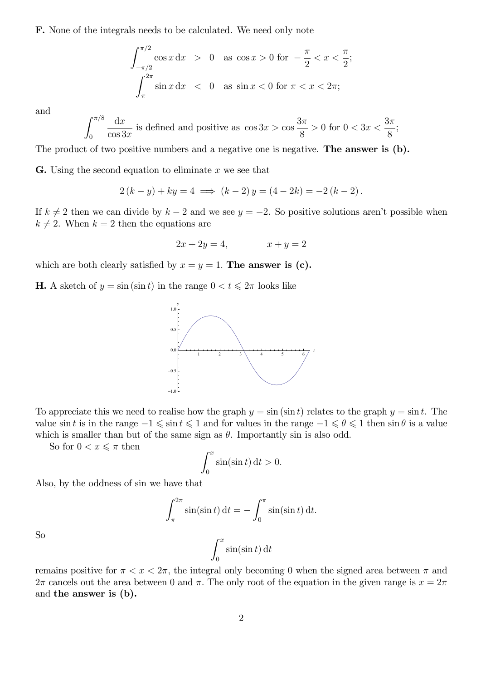F. None of the integrals needs to be calculated. We need only note

$$
\int_{-\pi/2}^{\pi/2} \cos x \, dx > 0 \quad \text{as } \cos x > 0 \text{ for } -\frac{\pi}{2} < x < \frac{\pi}{2};
$$
\n
$$
\int_{\pi}^{2\pi} \sin x \, dx < 0 \quad \text{as } \sin x < 0 \text{ for } \pi < x < 2\pi;
$$

and

$$
\int_0^{\pi/8} \frac{dx}{\cos 3x}
$$
 is defined and positive as  $\cos 3x > \cos \frac{3\pi}{8} > 0$  for  $0 < 3x < \frac{3\pi}{8}$ ;

The product of two positive numbers and a negative one is negative. **The answer is (b).** 

**G.** Using the second equation to eliminate  $x$  we see that

$$
2(k - y) + ky = 4 \implies (k - 2)y = (4 - 2k) = -2(k - 2).
$$

If  $k \neq 2$  then we can divide by  $k-2$  and we see  $y = -2$ . So positive solutions aren't possible when  $k \neq 2$ . When  $k = 2$  then the equations are

$$
2x + 2y = 4, \qquad x + y = 2
$$

which are both clearly satisfied by  $x = y = 1$ . The answer is (c).

**H.** A sketch of  $y = \sin(\sin t)$  in the range  $0 < t \leq 2\pi$  looks like



To appreciate this we need to realise how the graph  $y = \sin(\sin t)$  relates to the graph  $y = \sin t$ . The value sin t is in the range  $-1 \leq \sin t \leq 1$  and for values in the range  $-1 \leq \theta \leq 1$  then  $\sin \theta$  is a value which is smaller than but of the same sign as  $\theta$ . Importantly sin is also odd.

So for  $0 < x \leq \pi$  then

$$
\int_0^x \sin(\sin t) \, \mathrm{d}t > 0.
$$

Also, by the oddness of sin we have that

$$
\int_{\pi}^{2\pi} \sin(\sin t) dt = -\int_{0}^{\pi} \sin(\sin t) dt.
$$

 $\int_0^x$ 

 $\overline{0}$ 

So

remains positive for  $\pi < x < 2\pi$ , the integral only becoming 0 when the signed area between  $\pi$  and  $2\pi$  cancels out the area between 0 and  $\pi$ . The only root of the equation in the given range is  $x = 2\pi$ and the answer is (b).

 $\sin(\sin t) dt$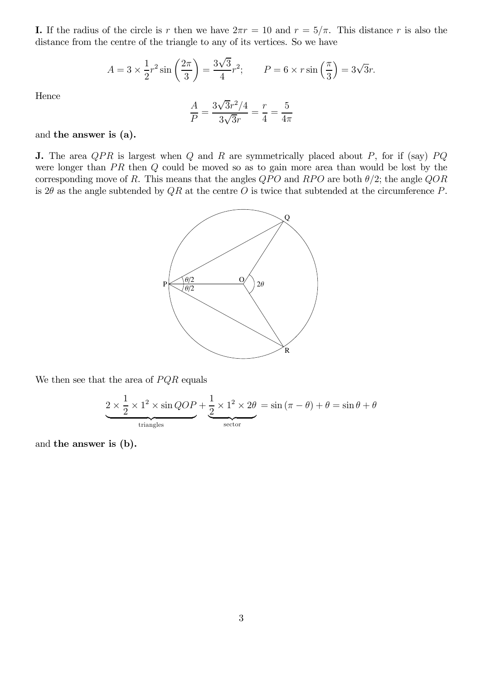I. If the radius of the circle is r then we have  $2\pi r = 10$  and  $r = 5/\pi$ . This distance r is also the distance from the centre of the triangle to any of its vertices. So we have

$$
A = 3 \times \frac{1}{2} r^{2} \sin\left(\frac{2\pi}{3}\right) = \frac{3\sqrt{3}}{4} r^{2}; \qquad P = 6 \times r \sin\left(\frac{\pi}{3}\right) = 3\sqrt{3}r.
$$

Hence

$$
\frac{A}{P} = \frac{3\sqrt{3}r^2/4}{3\sqrt{3}r} = \frac{r}{4} = \frac{5}{4\pi}
$$

and the answer is (a).

**J.** The area  $QPR$  is largest when  $Q$  and  $R$  are symmetrically placed about  $P$ , for if (say)  $PQ$ were longer than  $PR$  then  $Q$  could be moved so as to gain more area than would be lost by the corresponding move of R. This means that the angles  $QPO$  and  $RPO$  are both  $\theta/2$ ; the angle  $QOR$ is 2 $\theta$  as the angle subtended by  $QR$  at the centre O is twice that subtended at the circumference P.



We then see that the area of  $PQR$  equals

$$
\underbrace{2 \times \frac{1}{2} \times 1^2 \times \sin QOP}_{\text{triangles}} + \underbrace{\frac{1}{2} \times 1^2 \times 2\theta}_{\text{sector}} = \sin (\pi - \theta) + \theta = \sin \theta + \theta
$$

and the answer is (b).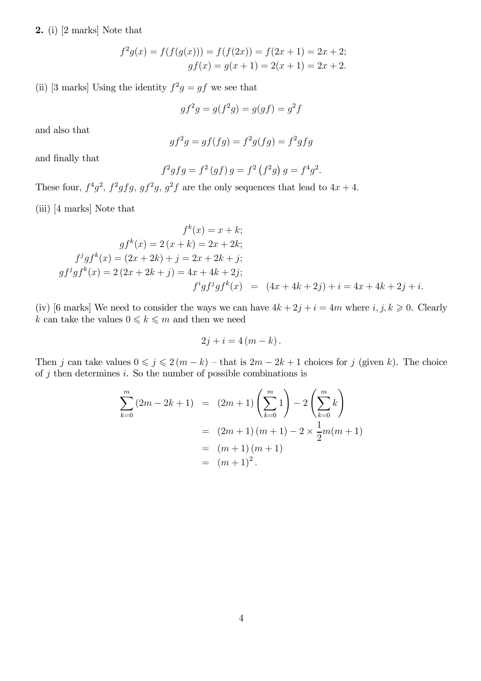2. (i) [2 marks] Note that

$$
f^{2}g(x) = f(f(g(x))) = f(f(2x)) = f(2x + 1) = 2x + 2;
$$
  

$$
gf(x) = g(x + 1) = 2(x + 1) = 2x + 2.
$$

(ii) [3 marks] Using the identity  $f^2g = gf$  we see that

$$
gf^2g = g(f^2g) = g(gf) = g^2f
$$

and also that

$$
gf^2g = gf(fg) = f^2g(fg) = f^2gfg
$$

and finally that

$$
f^2gfg = f^2(gf) g = f^2(f^2g) g = f^4g^2.
$$

These four,  $f^4g^2$ ,  $f^2gfg$ ,  $gf^2g$ ,  $g^2f$  are the only sequences that lead to  $4x + 4$ .

(iii) [4 marks] Note that

$$
f^{k}(x) = x + k;
$$
  
\n
$$
gf^{k}(x) = 2(x + k) = 2x + 2k;
$$
  
\n
$$
f^{j}gf^{k}(x) = (2x + 2k) + j = 2x + 2k + j;
$$
  
\n
$$
gf^{j}gf^{k}(x) = 2(2x + 2k + j) = 4x + 4k + 2j;
$$
  
\n
$$
f^{i}gf^{j}gf^{k}(x) = (4x + 4k + 2j) + i = 4x + 4k + 2j + i.
$$

(iv) [6 marks] We need to consider the ways we can have  $4k + 2j + i = 4m$  where  $i, j, k \geq 0$ . Clearly  $k$  can take the values  $0\leqslant k\leqslant m$  and then we need

$$
2j + i = 4(m - k).
$$

Then j can take values  $0 \le j \le 2(m - k)$  – that is  $2m - 2k + 1$  choices for j (given k). The choice of  $j$  then determines  $i$ . So the number of possible combinations is

$$
\sum_{k=0}^{m} (2m - 2k + 1) = (2m + 1) \left(\sum_{k=0}^{m} 1\right) - 2 \left(\sum_{k=0}^{m} k\right)
$$
  
=  $(2m + 1) (m + 1) - 2 \times \frac{1}{2} m(m + 1)$   
=  $(m + 1) (m + 1)$   
=  $(m + 1)^2$ .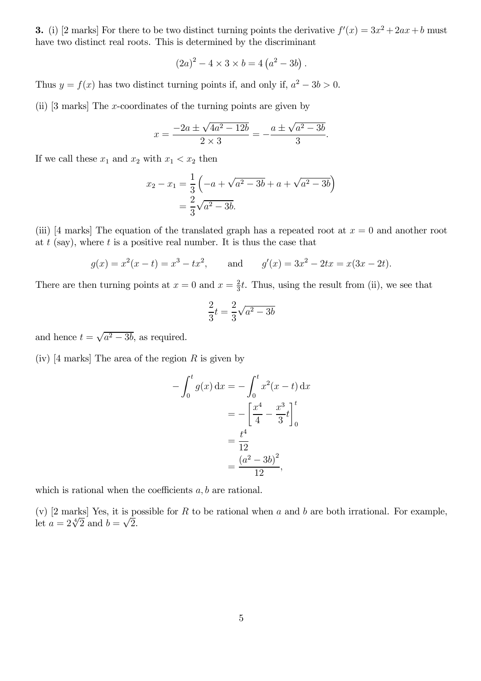**3.** (i) [2 marks] For there to be two distinct turning points the derivative  $f'(x) = 3x^2 + 2ax + b$  must have two distinct real roots. This is determined by the discriminant

$$
(2a)^{2} - 4 \times 3 \times b = 4(a^{2} - 3b).
$$

Thus  $y = f(x)$  has two distinct turning points if, and only if,  $a^2 - 3b > 0$ .

(ii) [3 marks] The x-coordinates of the turning points are given by

$$
x = \frac{-2a \pm \sqrt{4a^2 - 12b}}{2 \times 3} = -\frac{a \pm \sqrt{a^2 - 3b}}{3}.
$$

If we call these  $x_1$  and  $x_2$  with  $x_1 < x_2$  then

$$
x_2 - x_1 = \frac{1}{3} \left( -a + \sqrt{a^2 - 3b} + a + \sqrt{a^2 - 3b} \right)
$$
  
=  $\frac{2}{3} \sqrt{a^2 - 3b}$ .

(iii) [4 marks] The equation of the translated graph has a repeated root at  $x = 0$  and another root at  $t$  (say), where  $t$  is a positive real number. It is thus the case that

$$
g(x) = x2(x - t) = x3 - tx2
$$
, and  $g'(x) = 3x2 - 2tx = x(3x - 2t)$ .

There are then turning points at  $x=0$  and  $x=\frac{2}{3}$  $\frac{2}{3}t$ . Thus, using the result from (ii), we see that

$$
\frac{2}{3}t=\frac{2}{3}\sqrt{a^2-3b}
$$

and hence  $t = \sqrt{a^2 - 3b}$ , as required.

(iv)  $[4 \text{ marks}]$  The area of the region R is given by

$$
-\int_0^t g(x) dx = -\int_0^t x^2 (x - t) dx
$$
  
=  $-\left[\frac{x^4}{4} - \frac{x^3}{3}t\right]_0^t$   
=  $\frac{t^4}{12}$   
=  $\frac{(a^2 - 3b)^2}{12}$ ,

which is rational when the coefficients  $a, b$  are rational.

(v)  $[2 \text{ marks}]$  Yes, it is possible for R to be rational when a and b are both irrational. For example, let  $a = 2\sqrt[4]{2}$  and  $b = \sqrt{2}$ .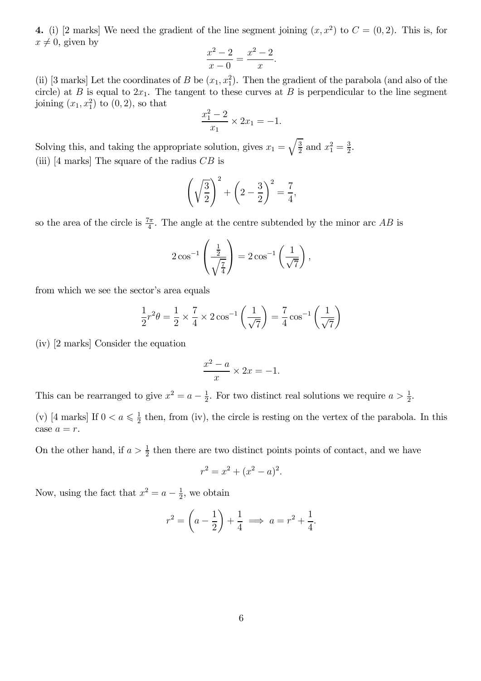4. (i) [2 marks] We need the gradient of the line segment joining  $(x, x^2)$  to  $C = (0, 2)$ . This is, for  $x \neq 0$ , given by

$$
\frac{x^2 - 2}{x - 0} = \frac{x^2 - 2}{x}.
$$

(ii) [3 marks] Let the coordinates of B be  $(x_1, x_1^2)$ . Then the gradient of the parabola (and also of the circle) at B is equal to  $2x_1$ . The tangent to these curves at B is perpendicular to the line segment joining  $(x_1, x_1^2)$  to  $(0, 2)$ , so that

$$
\frac{x_1^2 - 2}{x_1} \times 2x_1 = -1.
$$

Solving this, and taking the appropriate solution, gives  $x_1 = \sqrt{\frac{3}{2}}$  $rac{3}{2}$  and  $x_1^2 = \frac{3}{2}$  $\frac{3}{2}$ . (iii)  $[4 \text{ marks}]$  The square of the radius  $CB$  is

$$
\left(\sqrt{\frac{3}{2}}\right)^2 + \left(2 - \frac{3}{2}\right)^2 = \frac{7}{4},
$$

so the area of the circle is  $\frac{7\pi}{4}$ . The angle at the centre subtended by the minor arc AB is

$$
2\cos^{-1}\left(\frac{\frac{1}{2}}{\sqrt{\frac{7}{4}}}\right) = 2\cos^{-1}\left(\frac{1}{\sqrt{7}}\right),\,
$$

from which we see the sector's area equals

$$
\frac{1}{2}r^2\theta = \frac{1}{2} \times \frac{7}{4} \times 2\cos^{-1}\left(\frac{1}{\sqrt{7}}\right) = \frac{7}{4}\cos^{-1}\left(\frac{1}{\sqrt{7}}\right)
$$

(iv) [2 marks] Consider the equation

$$
\frac{x^2 - a}{x} \times 2x = -1.
$$

This can be rearranged to give  $x^2 = a - \frac{1}{2}$  $\frac{1}{2}$ . For two distinct real solutions we require  $a > \frac{1}{2}$ .

(v) [4 marks] If  $0 < a \leq \frac{1}{2}$  $\frac{1}{2}$  then, from (iv), the circle is resting on the vertex of the parabola. In this case  $a = r$ .

On the other hand, if  $a > \frac{1}{2}$  then there are two distinct points points of contact, and we have

$$
r^2 = x^2 + (x^2 - a)^2.
$$

Now, using the fact that  $x^2 = a - \frac{1}{2}$  $\frac{1}{2}$ , we obtain

$$
r^2 = \left(a - \frac{1}{2}\right) + \frac{1}{4} \implies a = r^2 + \frac{1}{4}.
$$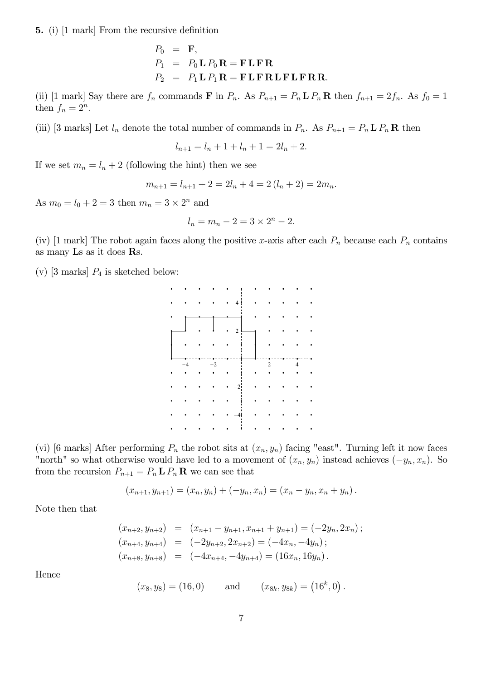5. (i) [1 mark] From the recursive definition

$$
P_0 = \mathbf{F},
$$
  
\n
$$
P_1 = P_0 \mathbf{L} P_0 \mathbf{R} = \mathbf{F} \mathbf{L} \mathbf{F} \mathbf{R}
$$
  
\n
$$
P_2 = P_1 \mathbf{L} P_1 \mathbf{R} = \mathbf{F} \mathbf{L} \mathbf{F} \mathbf{R} \mathbf{L} \mathbf{F} \mathbf{L} \mathbf{F} \mathbf{R} \mathbf{R}.
$$

(ii) [1 mark] Say there are  $f_n$  commands **F** in  $P_n$ . As  $P_{n+1} = P_n \mathbf{L} P_n \mathbf{R}$  then  $f_{n+1} = 2f_n$ . As  $f_0 = 1$ then  $f_n = 2^n$ .

(iii) [3 marks] Let  $l_n$  denote the total number of commands in  $P_n$ . As  $P_{n+1} = P_n L P_n R$  then

$$
l_{n+1} = l_n + 1 + l_n + 1 = 2l_n + 2.
$$

If we set  $m_n = l_n + 2$  (following the hint) then we see

$$
m_{n+1} = l_{n+1} + 2 = 2l_n + 4 = 2(l_n + 2) = 2m_n.
$$

As  $m_0 = l_0 + 2 = 3$  then  $m_n = 3 \times 2^n$  and

$$
l_n = m_n - 2 = 3 \times 2^n - 2.
$$

(iv) [1 mark] The robot again faces along the positive x-axis after each  $P_n$  because each  $P_n$  contains as many Ls as it does Rs.

(v) [3 marks]  $P_4$  is sketched below:

|      |         | $\bullet$ | 4              |   |  |  |
|------|---------|-----------|----------------|---|--|--|
|      |         |           |                |   |  |  |
|      |         |           | $\overline{2}$ |   |  |  |
|      |         |           |                |   |  |  |
|      |         |           |                |   |  |  |
|      |         |           |                |   |  |  |
| $-4$ | $^{-2}$ |           |                | 2 |  |  |
|      |         |           |                |   |  |  |
|      |         |           |                |   |  |  |
|      |         |           |                |   |  |  |
|      |         |           |                |   |  |  |

(vi) [6 marks] After performing  $P_n$  the robot sits at  $(x_n, y_n)$  facing "east". Turning left it now faces "north" so what otherwise would have led to a movement of  $(x_n, y_n)$  instead achieves  $(-y_n, x_n)$ . So from the recursion  $P_{n+1} = P_n \mathbf{L} P_n \mathbf{R}$  we can see that

$$
(x_{n+1}, y_{n+1}) = (x_n, y_n) + (-y_n, x_n) = (x_n - y_n, x_n + y_n).
$$

Note then that

$$
(x_{n+2}, y_{n+2}) = (x_{n+1} - y_{n+1}, x_{n+1} + y_{n+1}) = (-2y_n, 2x_n);
$$
  
\n
$$
(x_{n+4}, y_{n+4}) = (-2y_{n+2}, 2x_{n+2}) = (-4x_n, -4y_n);
$$
  
\n
$$
(x_{n+8}, y_{n+8}) = (-4x_{n+4}, -4y_{n+4}) = (16x_n, 16y_n).
$$

Hence

$$
(x_8, y_8) = (16, 0)
$$
 and  $(x_{8k}, y_{8k}) = (16^k, 0)$ .